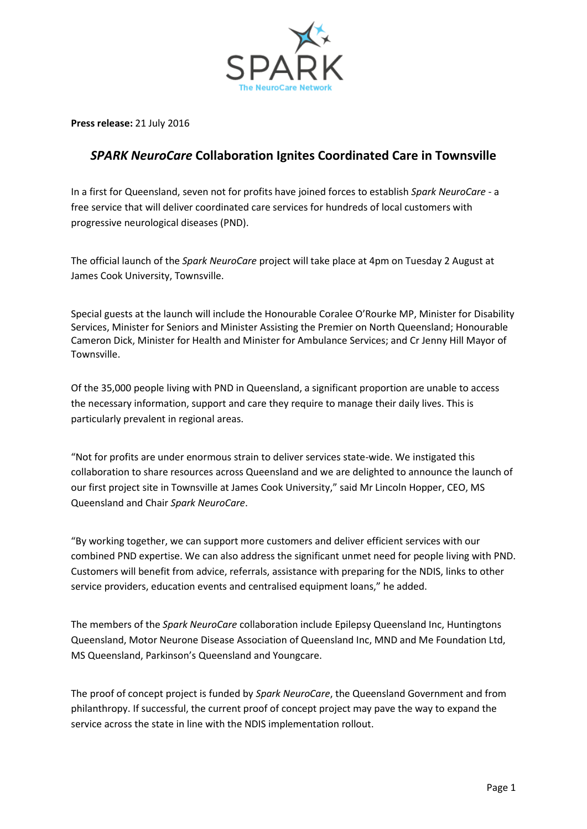

**Press release:** 21 July 2016

## *SPARK NeuroCare* **Collaboration Ignites Coordinated Care in Townsville**

In a first for Queensland, seven not for profits have joined forces to establish *Spark NeuroCare* - a free service that will deliver coordinated care services for hundreds of local customers with progressive neurological diseases (PND).

The official launch of the *Spark NeuroCare* project will take place at 4pm on Tuesday 2 August at James Cook University, Townsville.

Special guests at the launch will include the Honourable Coralee O'Rourke MP, Minister for Disability Services, Minister for Seniors and Minister Assisting the Premier on North Queensland; Honourable Cameron Dick, Minister for Health and Minister for Ambulance Services; and Cr Jenny Hill Mayor of Townsville.

Of the 35,000 people living with PND in Queensland, a significant proportion are unable to access the necessary information, support and care they require to manage their daily lives. This is particularly prevalent in regional areas.

"Not for profits are under enormous strain to deliver services state-wide. We instigated this collaboration to share resources across Queensland and we are delighted to announce the launch of our first project site in Townsville at James Cook University," said Mr Lincoln Hopper, CEO, MS Queensland and Chair *Spark NeuroCare*.

"By working together, we can support more customers and deliver efficient services with our combined PND expertise. We can also address the significant unmet need for people living with PND. Customers will benefit from advice, referrals, assistance with preparing for the NDIS, links to other service providers, education events and centralised equipment loans," he added.

The members of the *Spark NeuroCare* collaboration include Epilepsy Queensland Inc, Huntingtons Queensland, Motor Neurone Disease Association of Queensland Inc, MND and Me Foundation Ltd, MS Queensland, Parkinson's Queensland and Youngcare.

The proof of concept project is funded by *Spark NeuroCare*, the Queensland Government and from philanthropy. If successful, the current proof of concept project may pave the way to expand the service across the state in line with the NDIS implementation rollout.